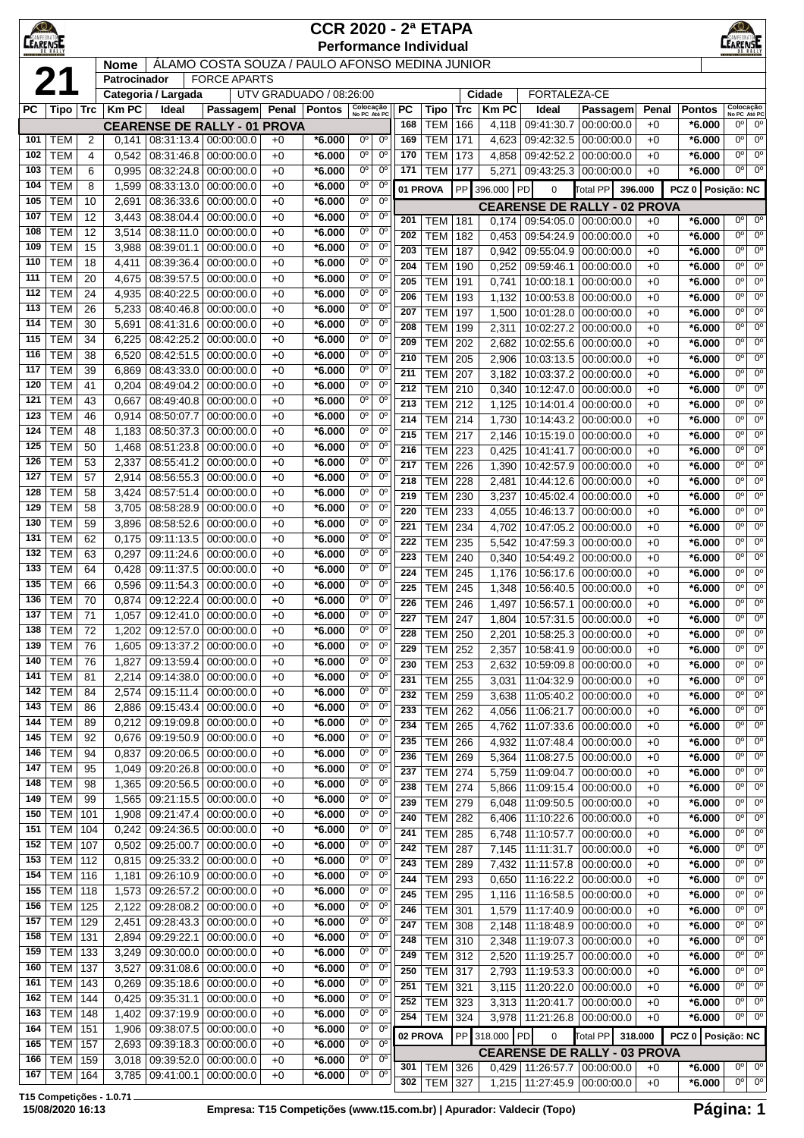| $\bigotimes$<br><b>CCR 2020 - 2ª ETAPA</b><br><b>CEARENSE</b><br><b>Performance Individual</b> |                          |                                  |                |                          |                                       |              |                         |                           |                               |                  |                          |            | EARENSE        |                          |                                     |              |                      |                                                                   |
|------------------------------------------------------------------------------------------------|--------------------------|----------------------------------|----------------|--------------------------|---------------------------------------|--------------|-------------------------|---------------------------|-------------------------------|------------------|--------------------------|------------|----------------|--------------------------|-------------------------------------|--------------|----------------------|-------------------------------------------------------------------|
| ÁLAMO COSTA SOUZA / PAULO AFONSO MEDINA JUNIOR<br><b>Nome</b>                                  |                          |                                  |                |                          |                                       |              |                         |                           |                               |                  |                          |            |                |                          |                                     |              |                      |                                                                   |
| 21<br><b>FORCE APARTS</b><br>Patrocinador                                                      |                          |                                  |                |                          |                                       |              |                         |                           |                               |                  |                          |            |                |                          |                                     |              |                      |                                                                   |
|                                                                                                |                          |                                  |                | Categoria / Largada      |                                       |              | UTV GRADUADO / 08:26:00 |                           |                               |                  |                          |            | Cidade         | <b>FORTALEZA-CE</b>      |                                     |              |                      |                                                                   |
| РC                                                                                             | Tipo   Trc               |                                  | <b>KmPC</b>    | Ideal                    | Passagem                              |              | Penal   Pontos          | Colocação<br>No PC Até PC |                               | <b>PC</b>        | Tipo                     | <b>Trc</b> | <b>Km PC</b>   | Ideal                    | Passagem                            | Penal        | <b>Pontos</b>        | Colocação<br>No PC Até PC                                         |
|                                                                                                |                          |                                  |                |                          | <b>CEARENSE DE RALLY - 01 PROVA</b>   |              |                         | $0^{\circ}$               | $0^{\circ}$                   | 168              | <b>TEM</b>               | 166        | 4,118          | 09:41:30.7               | 00:00:00.0                          | $+0$         | *6.000               | $0^{\circ}$<br>$0^{\circ}$<br>0 <sup>o</sup><br>$0^{\circ}$       |
| 101<br>102                                                                                     | <b>TEM</b><br><b>TEM</b> | $\overline{2}$<br>$\overline{4}$ | 0,141<br>0,542 | 08:31:46.8               | 08:31:13.4   00:00:00.0<br>00:00:00.0 | $+0$<br>$+0$ | *6.000<br>*6.000        | 0°                        | $0^{\circ}$                   | 169<br>170       | <b>TEM</b><br><b>TEM</b> | 171<br>173 | 4,623<br>4,858 | 09:42:32.5<br>09:42:52.2 | 00:00:00.0<br>00:00:00.0            | $+0$<br>$+0$ | $*6.000$<br>*6.000   | $0^{\circ}$<br>$0^{\circ}$                                        |
| 103                                                                                            | <b>TEM</b>               | 6                                | 0,995          | 08:32:24.8               | 00:00:00.0                            | $+0$         | *6.000                  | 0°                        | $0^{\circ}$                   | 171              | <b>TEM</b>               | 177        | 5,271          |                          | 09:43:25.3 00:00:00.0               | $+0$         | *6.000               | $0^{\circ}$<br>$0^{\circ}$                                        |
| 104                                                                                            | <b>TEM</b>               | 8                                | 1,599          | 08:33:13.0               | 00:00:00.0                            | $+0$         | $*6.000$                | 0°                        | $0^{\circ}$                   |                  | 01 PROVA                 | <b>PP</b>  | 396.000        | PD<br>$\mathbf 0$        | <b>Total PP</b>                     | 396.000      | PCZ 0   Posicão: NC  |                                                                   |
| 105                                                                                            | <b>TEM</b>               | 10                               | 2,691          | 08:36:33.6               | 00:00:00.0                            | $+0$         | *6.000                  | $0^{\circ}$               | $0^{\circ}$                   |                  |                          |            |                |                          | <b>CEARENSE DE RALLY - 02 PROVA</b> |              |                      |                                                                   |
| 107                                                                                            | <b>TEM</b>               | 12                               | 3,443          | 08:38:04.4               | 00:00:00.0                            | $+0$         | *6.000                  | $0^{\circ}$               | $0^{\circ}$                   | 201              | TEM                      | 181        | 0.174          |                          | 09:54:05.0   00:00:00.0             | $+0$         | $*6.000$             | $0^{\circ}$<br>$0^{\circ}$                                        |
| 108                                                                                            | <b>TEM</b>               | 12                               | 3,514          | 08:38:11.0               | 00:00:00.0                            | $+0$         | *6.000                  | 0°                        | $0^{\circ}$                   | 202              | <b>TEM</b>               | 182        | 0,453          | 09:54:24.9               | 00:00:00.0                          | $+0$         | *6.000               | 0 <sup>o</sup><br>$0^{\circ}$                                     |
| 109                                                                                            | <b>TEM</b>               | 15                               | 3,988          | 08:39:01.1               | 00:00:00.0                            | $+0$         | *6.000                  | $0^{\circ}$               | $0^{\circ}$                   | 203              | <b>TEM</b>               | 187        | 0,942          | 09:55:04.9               | 00:00:00.0                          | $+0$         | *6.000               | $0^{\circ}$<br>$0^{\circ}$                                        |
| 110                                                                                            | <b>TEM</b>               | 18                               | 4,411          | 08:39:36.4               | 00:00:00.0                            | $+0$         | *6.000                  | 0°                        | $0^{\circ}$                   | 204              | <b>TEM</b>               | 190        | 0,252          | 09:59:46.1               | 00:00:00.0                          | $+0$         | $*6.000$             | $0^{\circ}$<br>$0^{\circ}$                                        |
| 111                                                                                            | <b>TEM</b>               | 20                               | 4,675          | 08:39:57.5               | 00:00:00.0                            | $+0$         | *6.000                  | $0^{\circ}$               | $0^{\circ}$                   | 205              | <b>TEM</b>               | 191        | 0,741          | 10:00:18.1               | 00:00:00.0                          | $+0$         | *6.000               | 0 <sup>o</sup><br>$0^{\circ}$                                     |
| 112<br>113                                                                                     | <b>TEM</b><br><b>TEM</b> | 24<br>26                         | 4,935<br>5,233 | 08:40:22.5<br>08:40:46.8 | 00:00:00.0<br>00:00:00.0              | $+0$<br>$+0$ | *6.000<br>*6.000        | 0°<br>0°                  | $0^{\circ}$<br>$0^{\rm o}$    | 206              | <b>TEM</b>               | 193        | 1,132          | 10:00:53.8               | 00:00:00.0                          | $+0$         | *6.000               | 0°<br>$0^{\circ}$                                                 |
| 114                                                                                            | <b>TEM</b>               | 30                               | 5,691          | 08:41:31.6               | 00:00:00.0                            | $+0$         | *6.000                  | 0°                        | $0^{\circ}$                   | 207              | <b>TEM</b>               | 197        | 1,500          | 10:01:28.0               | 00:00:00.0                          | $+0$         | *6.000               | $0^{\circ}$<br>$0^{\circ}$                                        |
| 115                                                                                            | <b>TEM</b>               | 34                               | 6,225          | 08:42:25.2               | 00:00:00.0                            | $+0$         | *6.000                  | 0°                        | $0^{\circ}$                   | 208<br>209       | <b>TEM</b><br><b>TEM</b> | 199<br>202 | 2,311<br>2,682 | 10:02:27.2<br>10:02:55.6 | 00:00:00.0<br>00:00:00.0            | $+0$<br>$+0$ | *6.000<br>*6.000     | 0°<br>$0^{\circ}$<br>$0^{\circ}$<br>$0^{\circ}$                   |
| 116                                                                                            | <b>TEM</b>               | 38                               | 6,520          | 08:42:51.5               | 00:00:00.0                            | $+0$         | *6.000                  | $0^{\circ}$               | $0^{\circ}$                   | 210              | <b>TEM</b>               | 205        | 2,906          | 10:03:13.5               | 00:00:00.0                          | $+0$         | *6.000               | 0 <sup>o</sup><br>$0^{\circ}$                                     |
| 117                                                                                            | <b>TEM</b>               | 39                               | 6,869          | 08:43:33.0               | 00:00:00.0                            | $+0$         | $*6.000$                | 0°                        | $0^{\circ}$                   | 211              | <b>TEM</b>               | 207        | 3,182          |                          | 10:03:37.2 00:00:00.0               | $+0$         | *6.000               | 0 <sup>o</sup><br>$0^{\circ}$                                     |
| 120                                                                                            | <b>TEM</b>               | 41                               | 0,204          | 08:49:04.2               | 00:00:00.0                            | $+0$         | *6.000                  | 0°                        | $0^{\circ}$                   | 212              | <b>TEM</b>               | 210        | 0,340          | 10:12:47.0               | 00:00:00.0                          | $+0$         | *6.000               | 0°<br>$0^{\circ}$                                                 |
| 121                                                                                            | <b>TEM</b>               | 43                               | 0,667          | 08:49:40.8               | 00:00:00.0                            | $+0$         | *6.000                  | 0°                        | $0^{\circ}$                   | 213              | <b>TEM</b>               | 212        | 1,125          | 10:14:01.4               | 00:00:00.0                          | $+0$         | $*6.000$             | $0^{\circ}$<br>$0^{\circ}$                                        |
| 123                                                                                            | <b>TEM</b>               | 46                               | 0,914          | 08:50:07.7               | 00:00:00.0                            | $+0$         | *6.000                  | 0°                        | $0^{\circ}$                   | 214              | TEM l                    | 214        | 1,730          | 10:14:43.2               | 00:00:00.0                          | $+0$         | $*6.000$             | $0^{\circ}$<br>$0^{\circ}$                                        |
| 124                                                                                            | <b>TEM</b>               | 48                               | 1,183          | 08:50:37.3               | 00:00:00.0                            | $+0$         | *6.000                  | 0°                        | $0^{\circ}$                   | 215              | <b>TEM</b>               | 217        | 2,146          | 10:15:19.0               | 00:00:00.0                          | $+0$         | *6.000               | 0°<br>$0^{\circ}$                                                 |
| 125<br>126                                                                                     | <b>TEM</b><br><b>TEM</b> | 50                               | 1,468          | 08:51:23.8               | 00:00:00.0                            | $+0$         | *6.000                  | 0°<br>0°                  | $0^{\rm o}$<br>$0^{\circ}$    | 216              | <b>TEM</b>               | 223        | 0,425          | 10:41:41.7               | 00:00:00.0                          | $+0$         | *6.000               | $0^{\circ}$<br>$0^{\circ}$                                        |
| 127                                                                                            | <b>TEM</b>               | 53<br>57                         | 2,337<br>2,914 | 08:55:41.2<br>08:56:55.3 | 00:00:00.0<br>00:00:00.0              | $+0$<br>$+0$ | *6.000<br>*6.000        | 0°                        | $0^{\circ}$                   | 217              | <b>TEM</b>               | 226        | 1,390          | 10:42:57.9               | 00:00:00.0                          | $+0$         | *6.000               | $0^{\circ}$<br>$0^{\circ}$                                        |
| 128                                                                                            | <b>TEM</b>               | 58                               | 3,424          | 08:57:51.4               | 00:00:00.0                            | $+0$         | *6.000                  | $0^{\circ}$               | $0^{\circ}$                   | 218<br>219       | TEM                      | 228        | 2,481          | 10:44:12.6               | 00:00:00.0                          | $+0$         | *6.000               | 0 <sup>o</sup><br>0 <sup>o</sup><br>0 <sup>o</sup><br>$0^{\circ}$ |
| 129                                                                                            | <b>TEM</b>               | 58                               | 3,705          | 08:58:28.9               | 00:00:00.0                            | $+0$         | *6.000                  | 0°                        | $0^{\circ}$                   | 220              | <b>TEM</b><br><b>TEM</b> | 230<br>233 | 3,237<br>4,055 | 10:45:02.4<br>10:46:13.7 | 00:00:00.0<br>00:00:00.0            | $+0$<br>$+0$ | $*6.000$<br>*6.000   | $0^{\circ}$<br>$0^{\circ}$                                        |
| 130                                                                                            | <b>TEM</b>               | 59                               | 3,896          | 08:58:52.6               | 00:00:00.0                            | $+0$         | *6.000                  | 0°                        | $0^{\circ}$                   | 221              | <b>TEM</b>               | 234        | 4,702          | 10:47:05.2               | 00:00:00.0                          | $+0$         | *6.000               | $0^{\circ}$<br>$0^{\circ}$                                        |
| 131                                                                                            | <b>TEM</b>               | 62                               | 0,175          | 09:11:13.5               | 00:00:00.0                            | $+0$         | *6.000                  | 0°                        | $0^{\circ}$                   | 222              | <b>TEM</b>               | 235        | 5,542          | 10:47:59.3               | 00:00:00.0                          | $+0$         | *6.000               | 0°<br>$0^{\circ}$                                                 |
| 132                                                                                            | <b>TEM</b>               | 63                               | 0,297          | 09:11:24.6               | 00:00:00.0                            | $+0$         | *6.000                  | $0^{\circ}$               | $0^{\circ}$                   | 223              | <b>TEM</b>               | 240        | 0,340          | 10:54:49.2               | 00:00:00.0                          | $+0$         | $*6.000$             | $0^{\circ}$<br>$0^{\circ}$                                        |
| 133                                                                                            | <b>TEM</b>               | 64                               | 0,428          | 09:11:37.5               | 00:00:00.0                            | $+0$         | *6.000                  | 0°                        | $0^{\circ}$                   | 224              | <b>TEM</b>               | 245        | 1,176          | 10:56:17.6               | 00:00:00.0                          | $+0$         | *6.000               | $0^{\circ}$<br>$0^{\circ}$                                        |
| 135                                                                                            | <b>TEM</b>               | 66                               | 0,596          | 09:11:54.3               | 00:00:00.0                            | $+0$         | *6.000                  | 0°                        | $0^{\circ}$                   | 225              | <b>TEM</b>               | 245        | 1,348          | 10:56:40.5               | 00:00:00.0                          | $+0$         | *6.000               | $0^{\circ}$<br>$0^{\circ}$                                        |
| 136                                                                                            | <b>TEM</b>               | 70                               | 0,874          | 09:12:22.4               | 00:00:00.0                            | $+0$         | *6.000                  | 0°                        | $0^{\rm o}$                   | 226              | <b>TEM</b>               | 246        | 1,497          | 10:56:57.1               | 00:00:00.0                          | $+0$         | *6.000               | $0^{\circ}$<br>0 <sup>o</sup>                                     |
| 137                                                                                            | <b>TEM</b>               | 71                               | 1,057          | 09:12:41.0               | 00:00:00.0                            | $+0$         | *6.000                  | 0°                        | $0^{\circ}$<br>0 <sup>o</sup> | $\overline{227}$ | <b>TEM 247</b>           |            | 1,804          |                          | 10:57:31.5 00:00:00.0               | $+0$         | $*6.000$             | $\overline{0^0}$<br>0 <sup>o</sup>                                |
| 138<br>139                                                                                     | TEM<br><b>TEM</b>        | 72<br>76                         | 1,202<br>1,605 | 09:12:57.0<br>09:13:37.2 | 00:00:00.0<br>00:00:00.0              | $+0$<br>$+0$ | *6.000<br>$*6.000$      | 0°<br>0 <sup>o</sup>      | $0^{\circ}$                   | 228              | <b>TEM</b>               | 250        | 2,201          |                          | 10:58:25.3 00:00:00.0               | $+0$         | $*6.000$             | $0^{\circ}$<br>$0^{\circ}$                                        |
| 140                                                                                            | <b>TEM</b>               | 76                               | 1,827          | 09:13:59.4               | 00:00:00.0                            | $+0$         | $*6.000$                | 0°                        | $0^{\circ}$                   | 229<br>230       | <b>TEM</b><br><b>TEM</b> | 252        | 2,357          | 10:59:09.8               | 10:58:41.9 00:00:00.0<br>00:00:00.0 | $+0$         | $*6.000$             | $0^{\circ}$<br>$0^{\circ}$<br>$0^{\circ}$<br>$0^{\circ}$          |
| 141                                                                                            | <b>TEM</b>               | 81                               | 2,214          | 09:14:38.0               | 00:00:00.0                            | $+0$         | $*6.000$                | 0°                        | $0^{\circ}$                   | 231              | <b>TEM</b>               | 253<br>255 | 2,632<br>3,031 | 11:04:32.9               | 00:00:00.0                          | $+0$<br>$+0$ | $*6.000$<br>$*6.000$ | $0^{\circ}$<br>$0^{\circ}$                                        |
| 142                                                                                            | <b>TEM</b>               | 84                               | 2,574          | 09:15:11.4               | 00:00:00.0                            | $+0$         | $*6.000$                | 0 <sup>o</sup>            | 0 <sup>o</sup>                | 232              | <b>TEM</b>               | 259        | 3,638          | 11:05:40.2               | 00:00:00.0                          | $+0$         | $*6.000$             | $0^{\circ}$<br>$0^{\circ}$                                        |
| 143                                                                                            | <b>TEM</b>               | 86                               | 2,886          | 09:15:43.4               | 00:00:00.0                            | $+0$         | $*6.000$                | 0°                        | 0 <sup>o</sup>                | 233              | <b>TEM</b>               | 262        | 4,056          | 11:06:21.7               | 00:00:00.0                          | $+0$         | $*6.000$             | $0^{\circ}$<br>$0^{\circ}$                                        |
| 144                                                                                            | <b>TEM</b>               | 89                               | 0,212          | 09:19:09.8               | 00:00:00.0                            | $+0$         | $*6.000$                | 0°                        | $0^{\rm o}$                   | 234              | <b>TEM</b>               | 265        | 4,762          | 11:07:33.6               | 00:00:00.0                          | $+0$         | $*6.000$             | $0^{\circ}$<br>$0^{\circ}$                                        |
| 145                                                                                            | <b>TEM</b>               | 92                               | 0,676          | 09:19:50.9               | 00:00:00.0                            | $+0$         | $*6.000$                | 0°                        | $0^{\circ}$                   | 235              | <b>TEM</b>               | 266        | 4,932          | 11:07:48.4               | 00:00:00.0                          | $+0$         | $*6.000$             | 0 <sup>o</sup><br>$0^{\circ}$                                     |
| 146                                                                                            | <b>TEM</b>               | 94                               | 0,837          | 09:20:06.5               | 00:00:00.0                            | $+0$         | $*6.000$                | $0^{\rm o}$               | $0^{\circ}$                   | 236              | <b>TEM</b>               | 269        | 5,364          | 11:08:27.5               | 00:00:00.0                          | $+0$         | $*6.000$             | 0 <sup>o</sup><br>$0^{\circ}$                                     |
| 147                                                                                            | <b>TEM</b>               | 95                               | 1,049          | 09:20:26.8               | 00:00:00.0                            | $+0$         | $*6.000$                | 0 <sup>o</sup>            | 0 <sup>o</sup>                | 237              | <b>TEM 274</b>           |            | 5,759          | 11:09:04.7               | 00:00:00.0                          | $+0$         | $*6.000$             | $0^{\circ}$<br>$0^{\circ}$                                        |
| 148                                                                                            | <b>TEM</b><br><b>TEM</b> | 98                               | 1,365          | 09:20:56.5               | 00:00:00.0<br>00:00:00.0              | $+0$         | $*6.000$                | 0°<br>0°                  | $0^{\circ}$<br>$0^{\circ}$    | 238              | <b>TEM</b>               | 274        | 5,866          | 11:09:15.4               | 00:00:00.0                          | $+0$         | $*6.000$             | $0^{\circ}$<br>$0^{\circ}$                                        |
| 149<br>150                                                                                     | <b>TEM</b>               | 99<br>101                        | 1,565<br>1,908 | 09:21:15.5<br>09:21:47.4 | 00:00:00.0                            | $+0$<br>$+0$ | $*6.000$<br>$*6.000$    | 0°                        | $0^{\circ}$                   | 239              | <b>TEM</b>               | 279        | 6,048          | 11:09:50.5               | 00:00:00.0                          | $+0$         | $*6.000$             | 0 <sup>o</sup><br>$0^{\circ}$                                     |
| 151                                                                                            | <b>TEM</b>               | 104                              | 0,242          | 09:24:36.5               | 00:00:00.0                            | $+0$         | $*6.000$                | 0 <sup>o</sup>            | $0^{\circ}$                   | 240              | <b>TEM</b>               | 282        | 6,406          | 11:10:22.6               | 00:00:00.0                          | $+0$         | $*6.000$             | $0^{\circ}$<br>$0^{\circ}$<br>$0^{\circ}$<br>$0^{\circ}$          |
| 152                                                                                            | <b>TEM</b>               | 107                              | 0,502          | 09:25:00.7               | 00:00:00.0                            | $+0$         | $*6.000$                | 0 <sup>o</sup>            | $0^{\circ}$                   | 241<br>242       | <b>TEM</b><br>TEM        | 285<br>287 | 6,748<br>7,145 | 11:10:57.7<br>11:11:31.7 | 00:00:00.0<br>00:00:00.0            | $+0$<br>$+0$ | $*6.000$<br>$*6.000$ | $0^{\circ}$<br>$0^{\circ}$                                        |
| 153                                                                                            | <b>TEM</b>               | 112                              | 0,815          | 09:25:33.2               | 00:00:00.0                            | $+0$         | $*6.000$                | 0°                        | $0^{\circ}$                   | 243              | <b>TEM</b>               | 289        | 7,432          | 11:11:57.8               | 00:00:00.0                          | $+0$         | $*6.000$             | $0^{\circ}$<br>0 <sup>o</sup>                                     |
| 154                                                                                            | <b>TEM</b>               | 116                              | 1,181          | 09:26:10.9               | 00:00:00.0                            | $+0$         | *6.000                  | 0°                        | $0^{\circ}$                   | 244              | <b>TEM</b>               | 293        | 0,650          | 11:16:22.2               | 00:00:00.0                          | $+0$         | $*6.000$             | $0^{\circ}$<br>0 <sup>o</sup>                                     |
| 155                                                                                            | <b>TEM</b>               | 118                              | 1,573          | 09:26:57.2               | 00:00:00.0                            | $+0$         | *6.000                  | 0°                        | $0^{\circ}$                   | 245              | TEM                      | 295        | 1,116          | 11:16:58.5               | 00:00:00.0                          | $+0$         | $*6.000$             | 0 <sup>o</sup><br>$0^{\circ}$                                     |
| 156                                                                                            | <b>TEM</b>               | 125                              | 2,122          | 09:28:08.2               | 00:00:00.0                            | $+0$         | *6.000                  | 0°                        | 0 <sup>o</sup>                | 246              | TEM                      | 301        | 1,579          | 11:17:40.9               | 00:00:00.0                          | $+0$         | $*6.000$             | 0 <sup>0</sup><br>0 <sup>o</sup>                                  |
| 157                                                                                            | <b>TEM</b>               | 129                              | 2,451          | 09:28:43.3               | 00:00:00.0                            | $+0$         | *6.000                  | 0°                        | $0^{\circ}$                   | 247              | TEM                      | 308        | 2,148          | 11:18:48.9               | 00:00:00.0                          | $+0$         | $*6.000$             | 0 <sup>o</sup><br>$0^{\circ}$                                     |
| 158                                                                                            | <b>TEM</b>               | 131                              | 2,894          | 09:29:22.1               | 00:00:00.0                            | $+0$         | *6.000                  | 0°                        | $0^{\circ}$                   | 248              | <b>TEM</b>               | 310        | 2,348          | 11:19:07.3               | 00:00:00.0                          | $+0$         | $*6.000$             | $0^{\circ}$<br>$0^{\circ}$                                        |
| 159<br>160                                                                                     | <b>TEM</b><br><b>TEM</b> | 133<br>137                       | 3,249<br>3,527 | 09:30:00.0<br>09:31:08.6 | 00:00:00.0<br>00:00:00.0              | $+0$<br>$+0$ | *6.000<br>$*6.000$      | 0°<br>0°                  | $0^{\circ}$<br>$0^{\circ}$    | 249              | <b>TEM</b>               | 312        | 2,520          | 11:19:25.7               | 00:00:00.0                          | $+0$         | $*6.000$             | $0^{\circ}$<br>$0^{\circ}$                                        |
| 161                                                                                            | <b>TEM</b>               | 143                              | 0,269          | 09:35:18.6               | 00:00:00.0                            | $+0$         | $*6.000$                | 0 <sup>o</sup>            | $0^{\circ}$                   | 250              | $TEM$ 317                |            | 2,793          | 11:19:53.3               | 00:00:00.0                          | $+0$         | $*6.000$             | $0^{\circ}$<br>$0^{\circ}$<br>$0^{\circ}$                         |
| 162                                                                                            | <b>TEM</b>               | 144                              | 0,425          | 09:35:31.1               | 00:00:00.0                            | $+0$         | *6.000                  | 0°                        | $0^{\circ}$                   | 251<br>252       | <b>TEM</b><br><b>TEM</b> | 321<br>323 | 3,115<br>3,313 | 11:20:22.0<br>11:20:41.7 | 00:00:00.0<br>00:00:00.0            | $+0$<br>$+0$ | $*6.000$<br>$*6.000$ | 0 <sup>0</sup><br>0 <sup>o</sup><br>$0^{\circ}$                   |
| 163                                                                                            | <b>TEM</b>               | 148                              | 1,402          | 09:37:19.9               | 00:00:00.0                            | $+0$         | *6.000                  | 0°                        | $0^{\circ}$                   | 254              | <b>TEM</b>               | 324        | 3,978          | 11:21:26.8               | 00:00:00.0                          | $+0$         | *6.000               | $0^{\circ}$<br>$0^{\circ}$                                        |
| 164                                                                                            | <b>TEM</b>               | 151                              | 1,906          | 09:38:07.5               | 00:00:00.0                            | $+0$         | *6.000                  | 0°                        | $0^{\circ}$                   |                  | 02 PROVA                 | PP         | 318.000        | PD<br>0                  | <b>Total PP</b>                     | 318.000      | PCZ 0 Posição: NC    |                                                                   |
| 165                                                                                            | <b>TEM</b>               | 157                              | 2,693          | 09:39:18.3               | 00:00:00.0                            | $+0$         | *6.000                  | 0 <sup>o</sup>            | $0^{\circ}$                   |                  |                          |            |                |                          | <b>CEARENSE DE RALLY - 03 PROVA</b> |              |                      |                                                                   |
| 166                                                                                            | TEM                      | 159                              | 3,018          | 09:39:52.0               | 00:00:00.0                            | $+0$         | *6.000                  | 0°                        | $0^{\circ}$                   | 301              | <b>TEM</b>               | 326        | 0,429          | 11:26:57.7               | 00:00:00.0                          | $+0$         | $*6.000$             | 0 <sup>o</sup><br>$0^{\circ}$                                     |
| 167                                                                                            | TEM                      | 164                              | 3,785          | 09:41:00.1               | 00:00:00.0                            | $+0$         | $*6.000$                | 0°                        | $0^{\circ}$                   | 302              | <b>TEM</b>               | 327        | 1,215          | 11:27:45.9               | 00:00:00.0                          | $+0$         | $*6.000$             | $0^{\circ}$<br>0°                                                 |

**T15 Competições - 1.0.71**